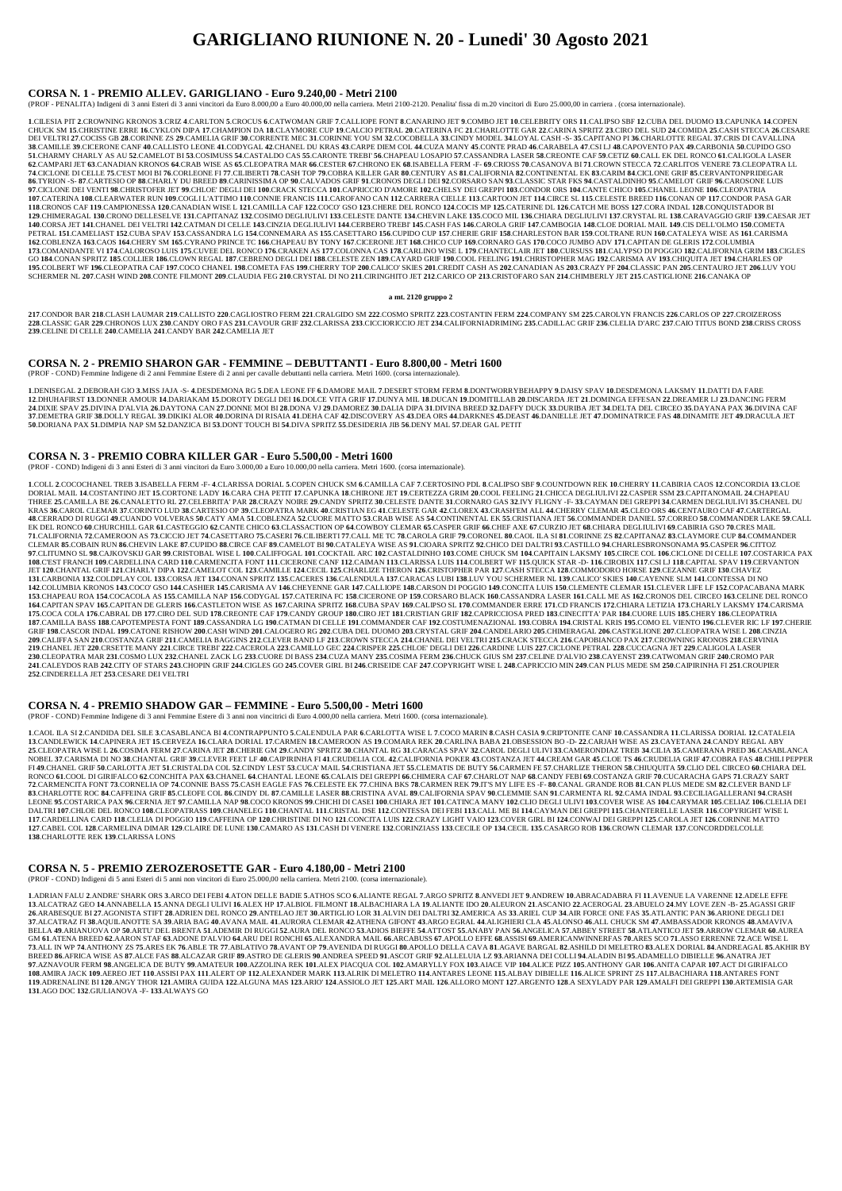# **GARIGLIANO RIUNIONE N. 20 - Lunedi' 30 Agosto 2021**

#### **CORSA N. 1 - PREMIO ALLEV. GARIGLIANO - Euro 9.240,00 - Metri 2100**

(PROF - PENALITA) Indigeni di 3 anni Esteri di 3 anni vincitori da Euro 8.000,00 a Euro 40.000,00 nella carriera. Metri 2100-2120. Penalita' fissa di m.20 vincitori di Euro 25.000,00 in carriera . (corsa internazionale).

1 CH ESIA PIT 2 CROWNING KRONOS 3 CRIZ 4 CARI TON 5 CROCUS 6 CATWOMAN GRIE 7 CALLIOPE FONT 8 CANARINO JET 9 COMBO JET 10 CELEBRITY ORS 11 CALIPSO SRE 12 CURA DEL DUOMO 13 CAPUNKA 14 COPEN CHUCK SM 15.CHRISTINE ERRE 16.CYKLON DIPA 17.CHAMPION DA 18.CLAYMORE CUP 19.CALCIO PETRAL 20.CATERINA FC 21.CHARLOTTE GAR 22.CARINA SPRITZ 23.CIRO DEL SUD 24.COMIDA 25.CASH STECCA 26.CESARE DEI VELTRI 27.COCISS GB 28.CORINNE ZS 29.CAMELIA GRIF 30.CORRENTE MEC 31.CORINNE YOU SM 32.COCOBELLA 33.CINDY MODEL 34.LOYAL CASH -S- 35.CAPITANO PI 36.CHARLOTTE REGAL 37.CRIS DI CAVALLINA 38.CAMILLE 39.CICERONE CANF 40.CALLISTO LEONE 41.CODYGAL 42.CHANEL DU KRAS 43.CARPE DIEM COL 44.CUZA MANY 45.CONTE PRAD 46.CARABELA 47.CSI LJ 48.CAPOVENTO PAX 49.CARBONIA 50.CUPIDO GSO 51. CHARMY CHARLY AS AU 52. CAMELOT BI 53. COSIMUSS 54. CASTALDO CAS 55. CARONTE TREBI' 56. CHAPEAU LOSAPIO 57. CASSANDRA LASER 58. CREONTE CAF 59. CETIZ 60. CALL EK DEL RONCO 61. CALIGOLA LASER 62. CAMPARI JET 63. CANADIAN KRONOS 64. CRAB WISE AS 65. CLEOPATRA MAR 66. CESTER 67. CHRONO EK 68. ISABELLA FERM -F-69. CRIOSS 70. CASANOVA BI71. CROWN STECCA 72. CARLITOS VENERE 73. CLEOPATRA LL 74.CICLONE DI CELLE 75.CEST MOI BI 76.CORLEONE FI 77.CILIBERTI 78.CASH TOP 79.COBRA KILLER GAR 80.CENTURY AS 81.CALIFORNIA 82.CONTINENTAL EK 83.CARIM 84.CICLONE GRIF 85.CERVANTONPRIDEGAR 86.TYRION -S- 87.CARTESIO OP 88.CHARLY DU BREED 89.CARINISSIMA OP 90.CALVADOS GRIF 91.CRONOS DEGLI DEI 92.CORSARO SAN 93.CLASSIC STAR FKS 94.CASTALDINHO 95.CAMELOT GRIF 96.CAROSONE LUIS 97.CICLONE DEI VENTI 98.CHRISTOFER JET 99.CHLOE' DEGLI DEI 100.CRACK STECCA 101.CAPRICCIO D'AMORE 102.CHELSY DEI GREPPI 103.CONDOR ORS 104.CANTE CHICO 105.CHANEL LEONE 106.CLEOPATRIA 10. CATERINA 108.CLEARWATER RUN 109.COGLI L'ATTIMO 110.CONNE FRANCIS 111.CAROFANO CAN 112.CARRERA CIELLE 113.CARTOON JET 114.CIRCE SL. 115.CELESTE BREED 116.CONAN OP 117.CONDOR PASA GAR 118.CRONOS CAF 119.CAMPIONESSA 120.CANADIAN WISE L 121.CAMILLA CAF 122.COCO' GSO 123.CHERE DEL RONCO 124.COCIS MP 125.CATERINE DL 126.CATCH ME BOSS 127.CORA INDAL 128.CONQUISTADOR BI 129.CHIMERAGAL 130.CRONO DELLESELVE 131.CAPITANAZ 132.COSIMO DEGLIULIVI 133.CELESTE DANTE 134.CHEVIN LAKE 135.COCO MIL 136.CHIARA DEGLIULIVI 137.CRYSTAL RL 138.CARAVAGGIO GRIF 139.CAESAR JET 140.CORSA JET 141.CHANEL DEI VELTRI 142.CATMAN DI CELLE 143.CINZIA DEGLIULIVI 144.CERBERO TREBI' 145.CASH FAS 146.CAROLA GRIF 147.CAMBOGIA 148.CLOE DORIAL MAIL 149.CIS DELL'OLMO 150.COMETA PETRAL 151.CAMELIAST 152.CUBA SPAV 153.CASSANDRA LG 154.CONNEMARA AS 155.CASETTARO 156.CUPIDO CUP 157.CHERIE GRIF 158.CHARLESTON BAR 159.COLTRANE RUN 160.CATALEYA WISE AS 161.CARISMA 162.COBLENZA 163.CAOS 164.CHERY SM 165.CYRANO PRINCE TC 166.CHAPEAU BY TONY 167.CICERONE JET 168.CHICO CUP 169.CORNARO GAS 170.COCO JUMBO ADV 171.CAPITAN DE GLERIS 172.COLUMBIA 173.COMANDANTE VI 174.CALOROSO LUIS 175.CUVEE DEL RONCO 176.CRAKEN AS 177.COLONNA CAS 178.CARLINO WISE L 179.CHANTECLAIR JET 180.CURSUSS 181.CALYPSO DI POGGIO 182.CALIFORNIA GRIM 183.CIGLES GO 184.CONAN SPRITZ 185.COLLIER 186.CLOWN REGAL 187.CEBRENO DEGLI DEI 188.CELESTE ZEN 189.CAYARD GRIF 190.COOL FEELING 191.CHRISTOPHER MAG 192.CARISMA AV 193.CHIQUITA JET 194.CHARLES OP 195.COLBERT WF 196.CLEOPATRA CAF 197.COCO CHANEL 198.COMETA FAS 199.CHERRY TOP 200.CALICO' SKIES 201.CREDIT CASH AS 202.CANADIAN AS 203.CRAZY PF 204.CLASSIC PAN 205.CENTAURO JET 206.LUV YOU SCHERMER NL 207.CASH WIND 208.CONTE FILMONT 209.CLAUDIA FEG 210.CRYSTAL DI NO 211.CIRINGHITO JET 212.CARICO OP 213.CRISTOFARO SAN 214.CHIMBERLY JET 215.CASTIGLIONE 216.CANAKA OP

217.CONDOR BAR 218.CLASH LAUMAR 219.CALLISTO 220.CAGLIOSTRO FERM 221.CRALGIDO SM 222.COSMO SPRITZ 223.COSTANTIN FERM 224.COMPANY SM 225.CAROLYN FRANCIS 226.CARLOS OP 227.CROIZEROSS 228.CLASSIC GAR 229.CHRONOS LUX 230.CANDY ORO FAS 231.CAVOUR GRIF 232.CLARISSA 233.CICCIORICCIO JET 234.CALIFORNIADRIMING 235.CADILLAC GRIF 236.CLELIA D'ARC 237.CAIO TITUS BOND 238.CRISS CROSS **239**.CELINE DI CELLE **240**.CAMELIA **241**.CANDY BAR **242**.CAMELIA JET

1.DENISEGAL 2.DEBORAH GIO 3.MISS JAJA -S-4.DESDEMONA RG 5.DEA LEONE FF 6.DAMORE MAIL 7.DESERT STORM FERM 8.DONTWORR YBEHAPPY 9.DAISY SPAV 10.DESDEMONA LAKSMY 11.DATTI DA FARE 12. DHUHAFIRST 13.DONNER AMOUR 14.DARIAKAM 15.DOROTY DEGLI DEI 16.DOLCE VITA GRIF 17.DUNYA MIL 18.DUCAN 19.DOMITILLAB 20.DISCARDA JET 21.DOMINGA EFFESAN 22.DREAMER LJ 23.DANCING FERM 24.DIXIE SPAV 25.DIVINA D'ALVIA 26.DAYTONA CAN 27.DONNE MOI BI 28.DONA VJ 29.DAMOREZ 30.DALIA DIPA 31.DIVINA BREED 32.DAFFY DUCK 33.DURIBA JET 34.DELTA DEL CIRCEO 35.DAYANA PAX 36.DIVINA CAF 37.DEMETRA GRIF 38.DOLLY REGAL 39.DIKIKI ALOR 40.DORINA DI RISAIA 41.DEHA CAF 42.DISCOVERY AS 43.DEA ORS 44.DARKNES 45.DEAST 46.DANIELLE JET 47.DOMINATRICE FAS 48.DINAMITE JET 49.DRACULA JET **50**.DORIANA PAX **51**.DIMPIA NAP SM **52**.DANZICA BI **53**.DONT TOUCH BI **54**.DIVA SPRITZ **55**.DESIDERIA JIB **56**.DENY MAL **57**.DEAR GAL PETIT

#### **a mt. 2120 gruppo 2**

#### **CORSA N. 2 - PREMIO SHARON GAR - FEMMINE – DEBUTTANTI - Euro 8.800,00 - Metri 1600**

(PROF - COND) Femmine Indigene di 2 anni Femmine Estere di 2 anni per cavalle debuttanti nella carriera. Metri 1600. (corsa internazionale).

1. COLL 2. COCOCHANEL TREB 3. ISABELLA FERM -F- 4. CLARISSA DORIAL 5. COPEN CHUCK SM 6. CAMILLA CAF 7. CERTOSINO PDL 8. CALIPSO SBF 9. COUNTDOWN REK 10. CHERRY 11. CABIRIA CAOS 12. CONCORDIA 13. CLOE DORIAL MAIL 14.COSTANTINO JET 15.CORTONE LADY 16.CARA CHA PETIT 17.CAPUNKA 18.CHIRONE JET 19.CERTEZZA GRIM 20.COOL FEELING 21.CHICCA DEGLIULIVI 22.CASPER SSM 23.CAPITANOMAIL 24.CHAPEAU THREE 25.CAMILLA BE 26.CANALETTO RL 27.CELEBRITA' PAR 28.CRAZY NOIRE 29.CANDY SPRITZ 30.CELESTE DANTE 31.CORNARO GAS 32.IVY FLIGNY -F- 33.CAYMAN DEI GREPPI 34.CARMEN DEGLIULIVI 35.CHANEL DU KRAS 36.CAROL CLEMAR 37.CORINTO LUD 38.CARTESIO OP 39.CLEOPATRA MARK 40.CRISTIAN EG 41.CELESTE GAR 42.CLOREX 43.CRASHEM ALL 44.CHERRY CLEMAR 45.CLEO ORS 46.CENTAURO CAF 47.CARTERGAL 48.CERRADO DI RUGGI 49.CUANDO VOLVERAS 50.CATY AMA 51.COBLENZA 52.CUORE MATTO 53.CRAB WISE AS 54.CONTINENTAL EK 55.CRISTIANA JET 56.COMMANDER DANIEL 57.CORREO 58.COMMANDER LAKE 59.CALL EK DEL RONCO 60.CHURCHILL GAR 61.CASTEGGIO 62.CANTE CHICO 63.CLASSACTION OP 64.COWBOY CLEMAR 65.CASPER GRIF 66.CHEF AXE 67.CURZIO JET 68.CHIARA DEGLIULIVI 69.CABIRIA GSO 70.CRES MAIL 71.CALIFORNIA 72.CAMEROON AS 73.CICCIO JET 74.CASETTARO 75.CASERI 76.CILIBERTI 77.CALL ME TC 78.CAROLA GRIF 79.CORONEL 80.CAOL ILA SI 81.CORINNE ZS 82.CAPITANAZ 83.CLAYMORE CUP 84.COMMANDER CLEMAR 85.COBAIN RUN 86.CHEVIN LAKE 87.CUPIDO 88.CIRCE CAF 89.CAMELOT BI 90.CATALEYA WISE AS 91.CIOARA SPRITZ 92.CHICO DEI DALTRI 93.CASTILLO 94.CHARLESBRONSONAMA 95.CASPER 96.CITTOZ 97.CLITUMNO SL 98.CAJKOVSKIJ GAR 99.CRISTOBAL WISE L 100.CALIFFOGAL 101.COCKTAIL ARC 102.CASTALDINHO 103.COME CHUCK SM 104.CAPITAIN LAKSMY 105.CIRCE COL 106.CICLONE DI CELLE 107.COSTARICA PAX 108.CEST FRANCH 109.CARDELLINA CARD 110.CARMENCITA FONT 111.CICERONE CANF 112.CAMAN 113.CLARISSA LUIS 114.COLBERT WF 115.QUICK STAR -D- 116.CIROBIX 117.CSI LJ 118.CAPITAL SPAV 119.CERVANTON JET 120.CHANTAL GRIF 121.CHARLY DIPA 122.CAMELOT COL 123.CAMILLE 124.CECIL 125.CHARLIZE THERON 126.CRISTOPHER PAR 127.CASH STECCA 128.COMMODORO HORSE 129.CEZANNE GRIF 130.CHAVEZ 131.CARBONIA 132.COLDPLAY COL 133.CORSA JET 134.CONAN SPRITZ 135.CACERES 136.CALENDULA 137.CARACAS LUBI 138.LUV YOU SCHERMER NL 139.CALICO' SKIES 140.CAYENNE SLM 141.CONTESSA DI NO 142.COLUMBIA KRONOS 143.COCO'GSO 144.CASHIER 145.CARISMA AV 146.CHEYENNE GAR 147.CALLIOPE 148.CARSON DI POGGIO 149.CONCITA LUIS 150.CLEMENTE CLEMAR 151.CLEVER LIFE LF 152.COPACABANA MARK 153.CHAPEAU ROA 154.COCACOLA AS 155.CAMILLA NAP 156.CODYGAL 157.CATERINA FC 158.CICERONE OP 159.CORSARO BLACK 160.CASSANDRA LASER 161.CALL ME AS 162.CRONOS DEL CIRCEO 163.CELINE DEL RONCO 164.CAPITAN SPAV 165.CAPITAN DE GLERIS 166.CASTLETON WISE AS 167.CARINA SPRITZ 168.CUBA SPAV 169.CALIPSO SL 170.COMMANDER ERRE 171.CD FRANCIS 172.CHIARA LETIZIA 173.CHARLY LAKSMY 174.CARISMA 175.COCA COLA 176.CABRAL DB 177.CIRO DEL SUD 178.CREONTE CAF 179.CANDY GROUP 180.CIRO JET 181.CRISTIAN GRIF 182.CAPRICCIOSA PRED 183.CINECITTA' PAR 184.CUORE LUIS 185.CHERY 186.CLEOPATRIA 187.CAMILLA BASS 188.CAPOTEMPESTA FONT 189.CASSANDRA LG 190.CATMAN DI CELLE 191.COMMANDER CAF 192.COSTUMENAZIONAL 193.COBRA 194.CRISTAL KRIS 195.COMO EL VIENTO 196.CLEVER RIC LF 197.CHERIE GRIF 198.CASCOR INDAL 199.CATONE RISHOW 200.CASH WIND 201.CALOGERO RG 202.CUBA DEL DUOMO 203.CRYSTAL GRIF 204.CANDELARIO 205.CHIMERAGAL 206.CASTIGLIONE 207.CLEOPATRA WISE L 208.CINZIA 209.CALIFFA SAN 210.COSTANZA GRIF 211.CAMELIA BAGGINS 212.CLEVER BAND LF 213.CROWN STECCA 214.CHANEL DEI VELTRI 215.CRACK STECCA 216.CAPOBIANCO PAX 217.CROWNING KRONOS 218.CERVINIA 219.CHANEL JET 220.CRSETTE MANY 221.CIRCE TREBI' 222.CACEROLA 223.CAMILLO GEC 224.CRISPER 225.CHLOE' DEGLI DEI 226.CARDINE LUIS 227.CICLONE PETRAL 228.CUCCAGNA JET 229.CALIGOLA LASER 230.CLEOPATRA MAR 231.COSMO LUX 232.CHANEL ZACK LG 233.CUORE DI BASS 234.CUZA MANY 235.COSIMA FERM 236.CHUCK GIUS SM 237.CELINE D'ALVIO 238.CAYENST 239.CATWOMAN GRIF 240.CROMO PAR 241. CALEYDOS RAB 242.CITY OF STARS 243.CHOPIN GRIF 244.CIGLES GO 245.COVER GIRL BI 246.CRISEIDE CAF 247.COPYRIGHT WISE L 248.CAPRICCIO MIN 249.CAN PLUS MEDE SM 250.CAIPIRINHA FI 251.CROUPIER **252**.CINDERELLA JET **253**.CESARE DEI VELTRI

#### **CORSA N. 3 - PREMIO COBRA KILLER GAR - Euro 5.500,00 - Metri 1600**

(PROF - COND) Indigeni di 3 anni Esteri di 3 anni vincitori da Euro 3.000,00 a Euro 10.000,00 nella carriera. Metri 1600. (corsa internazionale).

1. CAOL ILA SI 2.CANDIDA DEL SILE 3.CASABLANCA BI 4.CONTRAPPUNTO 5.CALENDULA PAR 6.CARLOTTA WISE L 7. COCO MARIN 8.CASH CASIA 9.CRIPTONITE CANF 10.CASSANDRA 11.CLARISSA DORIAL 12.CATALEIA 13. CANDLEWICK 14. CAPINERA JET 15. CERVEZA 16. CLARA DORIAL 17. CARMEN 18. CAMEROON AS 19. COMARA REK 20. CARLINA BABA 21. OBSESSION BO -D- 22. CARJAH WISE AS 23. CAYETANA 24. CANDY REGAL ABY 25.CLEOPATRA WISE L 26.COSIMA FERM 27.CARINA JET 28.CHERIE GM 29.CANDY SPRITZ 30.CHANTAL RG 31.CARACAS SPAV 32.CAROL DEGLI ULIVI 33.CAMERONDIAZ TREB 34.CILIA 35.CAMERANA PRED 36.CASABLANCA NOBEL 37.CARISMA DI NO 38.CHANTAL GRIF 39.CLEVER FEET LF 40.CAIPIRINHA FI 41.CRUDELIA COL 42.CALIFORNIA POKER 43.COSTANZA JET 44.CREAM GAR 45.CLOE TS 46.CRUDELIA GRIF 47.COBRA FAS 48.CHILI PEPPER FI 49. CHANEL GRIF 50. CARLOTTA JET 51. CRISTALDA COL 52. CINDY LEST 53. CUCA' MAIL 54. CRISTIANA JET 55. CLEMATIS DE BUTY 56. CARMEN FE 57. CHARLIZE THERON 58. CHIUQUITA 59. CLIO DEL CIRCEO 60. CHIARA DEL RONCO 61.COOL DI GIRIFALCO 62.CONCHITA PAX 63.CHANEL 64.CHANTAL LEONE 65.CALAIS DEI GREPPI 66.CHIMERA CAF 67.CHARLOT NAP 68.CANDY FEBI 69.COSTANZA GRIF 70.CUCARACHA GAPS 71.CRAZY SART 72.CARMENCITA FONT 73.CORNELIA OP 74.CONNIE BASS 75.CASH EAGLE FAS 76.CELESTE EK 77.CHINA BKS 78.CARMEN REK 79.IT'S MY LIFE ES -F- 80.CANAL GRANDE ROB 81.CAN PLUS MEDE SM 82.CLEVER BAND LF 83.CHARLOTTE ROC 84.CAFFEINA GRIF 85.CLEOFE COL 86.CINDY DL 87.CAMILLE LASER 88.CRISTINA AVAL 89.CALIFORNIA SPAV 90.CLEMMIE SAN 91.CARMENTA RL 92.CAMA INDAL 93.CECILIAGALLERANI 94.CRASH LEONE 95.COSTARICA PAX 96.CERNIA JET 97.CAMILLA NAP 98.COCO KRONOS 99.CHICHI DI CASEI 100.CHIARA JET 101.CATINCA MANY 102.CLIO DEGLI ULIVI 103.COVER WISE AS 104.CARYMAR 105.CELIAZ 106.CLELIA DEI DALTRI 107.CHLOE DEL RONCO 108.CLEOPATRASS 109.CHANELEG 110.CHANTAL 111.CRISTAL DSE 112.CONTESSA DEI FEBI 113.CALL ME BI 114.CAYMAN DEI GREPPI 115.CHANTERELLE LASER 116.COPYRIGHT WISE L 117.CARDELLINA CARD 118.CLELIA DI POGGIO 119.CAFFEINA OP 120.CHRISTINE DI NO 121.CONCITA LUIS 122.CRAZY LIGHT VAIO 123.COVER GIRL BI 124.CONWAJ DEI GREPPI 125.CAROLA JET 126.CORINNE MATTO 127.CABEL COL 128.CARMELINA DIMAR 129.CLAIRE DE LUNE 130.CAMARO AS 131.CASH DI VENERE 132.CORINZIASS 133.CECILE OP 134.CECIL 135.CASARGO ROB 136.CROWN CLEMAR 137.CONCORDDELCOLLE **138**.CHARLOTTE REK **139**.CLARISSA LONS

13.ALCATRAZ GEO 14.ANNABELLA 15.ANNA DEGLI ULIVI 16.ALEX HP 17.ALBIOL FILMONT 18.ALBACHIARA LA 19.ALIANTE IDO 20.ALEURON 21.ASCANIO 22.ACEROGAL 23.ABUELO 24.MY LOVE ZEN -B- 25.AGASSI GRIF 26.ARABESQUE B127.AGONISTA STIFT 28.ADRIEN DEL RONCO 29.ANTELAO JET 30.ARTIGLIO LOR 31.ALVIN DEI DALTRI 32.AMERICA AS 33.AREL CUP 34.AIR FORCE ONE FAS 35.ATLANTIC PAN 36.ARIONE DEGLI DEI 37.ALCATRAZ FI 38.AQUILANOTTE SA 39.ARIA BAG 40.AVANA MAIL 41.AURORA CLEMAR 42.ATHENA GIFONT 43.ARGO EGRAL 44.ALIGHIERI CLA 45.ALONSO 46.ALL CHUCK SM 47.AMBASSADOR KRONOS 48.AMAVIVA BELLA 49.ARIANUOVA OP 50.ARTU' DEL BRENTA 51.ADEMIR DI RUGGI 52.AURA DEL RONCO 53.ADIOS BIEFFE 54.ATTOST 55.ANABY PAN 56.ANGELICA 57.ABBEY STREET 58.ATLANTICO JET 59.ARROW CLEMAR 60.AUREA GM 61.ATENA BREED 62.AARON STAF 63.ADONE D'ALVIO 64.ARU DEI RONCHI 65.ALEXANDRA MAIL 66.ARCABUSS 67.APOLLO EFFE 68.ASSISI 69.AMERICANWINNERFAS 70.ARES SCO 71.ASSO ERRENNE 72.ACE WISE L 73.ALL IN WP 74.ANTHONY ZS 75.ARES EK 76.ABLE TR 77.ABLATIVO 78.AVANT OP 79.AVENIDA DI RUGGI 80.APOLLO DELLA CAVA 81.AGAVE BARGAL 82.ASHILD DI MELETRO 83.ALEX DORIAL 84.ANDREAGAL 85.AKHIR BY BREED 86.AFRICA WISE AS 87.ALCE FAS 88.ALCAZAR GRIF 89.ASTRO DE GLERIS 90.ANDREA SPEED 91.ASCOT GRIF 92.ALLELUIA LZ 93.ARIANNA DEI COLLI 94.ALADIN BI 95.ADAMELLO DIBIELLE 96.ANATRA JET 97.AZNAVOUR FERM 98.ANGELICA DE BUTY 99.AMATEUR 100.AZZOLINA REK 101.ALEX PIACOUA COL 102.AMARYLLY FOX 103.AIACE VIP 104.ALICE PIZZ 105.ANTHONY GAR 106.ANITA CAPAR 107.ACT DI GIRIFALCO 108.AMIRA JACK 109.AEREO JET 110.ASSISI PAX 111.ALERT OP 112.ALEXANDER MARK 113.ALRIK DI MELETRO 114.ANTARES LEONE 115.ALBAY DIBIELLE 116.ALICE SPRINT ZS 117.ALBACHIARA 118.ANTARES FONT 119. ADRENALINE BI 120. ANGY THOR 121. AMIRA GUIDA 122. ALGUNA MAS 123. ARIO' 124. ASSIOLO JET 125. ART MAIL 126. ALLORO MONT 127. ARGENTO 128. A SEXYLADY PAR 129. AMALFI DEI GREPPI 130. ARTEMISIA GAR **131**.AGO DOC **132**.GIULIANOVA -F- **133**.ALWAYS GO

#### **CORSA N. 4 - PREMIO SHADOW GAR – FEMMINE - Euro 5.500,00 - Metri 1600**

(PROF - COND) Femmine Indigene di 3 anni Femmine Estere di 3 anni non vincitrici di Euro 4.000,00 nella carriera. Metri 1600. (corsa internazionale).

## **CORSA N. 5 - PREMIO ZEROZEROSETTE GAR - Euro 4.180,00 - Metri 2100**

(PROF - COND) Indigeni di 5 anni Esteri di 5 anni non vincitori di Euro 25.000,00 nella carriera. Metri 2100. (corsa internazionale).

1.ADRIAN FALU 2.ANDRE' SHARK ORS 3.ARCO DEI FEBI 4.ATON DELLE BADIE 5.ATHOS SCO 6.ALIANTE REGAL 7.ARGO SPRITZ 8.ANVEDI JET 9.ANDREW 10.ABRACADABRA FI 11.AVENUE LA VARENNE 12.ADELE EFFE